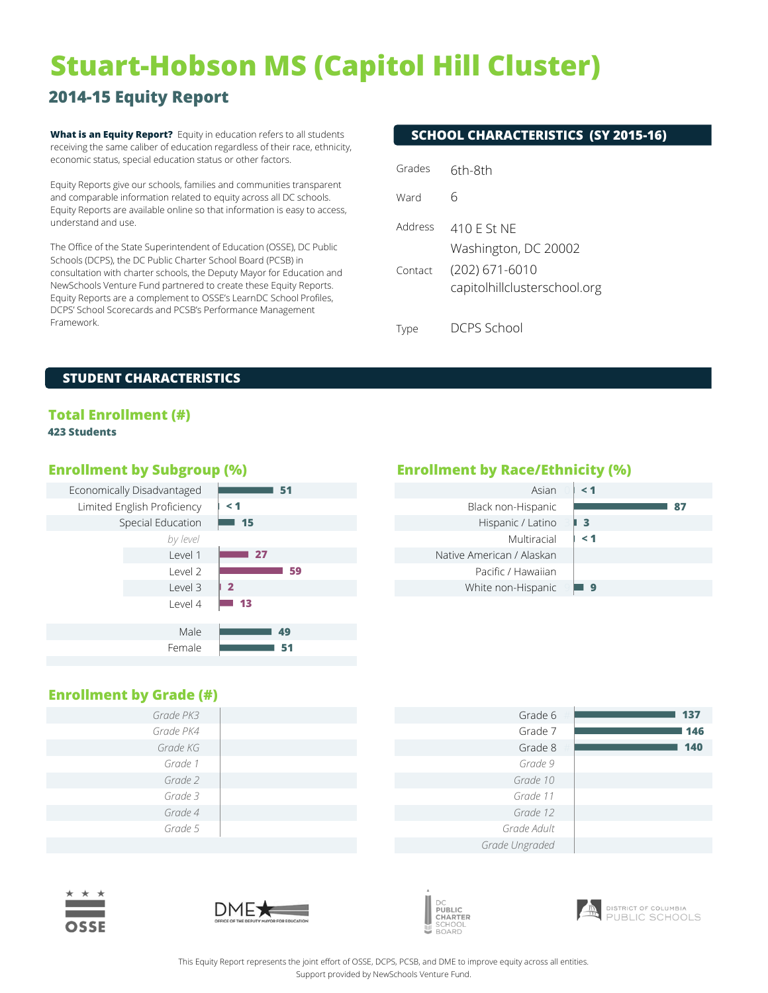# **Stuart-Hobson MS (Capitol Hill Cluster)**

# **2014-15 Equity Report**

**What is an Equity Report?** Equity in education refers to all students **SCHOOL CHARACTERISTICS (SY 2015-16)** receiving the same caliber of education regardless of their race, ethnicity, economic status, special education status or other factors.

Equity Reports give our schools, families and communities transparent and comparable information related to equity across all DC schools. Equity Reports are available online so that information is easy to access, understand and use.

The Office of the State Superintendent of Education (OSSE), DC Public Schools (DCPS), the DC Public Charter School Board (PCSB) in consultation with charter schools, the Deputy Mayor for Education and NewSchools Venture Fund partnered to create these Equity Reports. Equity Reports are a complement to OSSE's LearnDC School Profiles, DCPS' School Scorecards and PCSB's Performance Management Framework.

| Grades  | 6th-8th                                        |
|---------|------------------------------------------------|
| Ward    | 6                                              |
| Address | 410 F St NF<br>Washington, DC 20002            |
| Contact | (202) 671-6010<br>capitolhillclusterschool.org |
| Tyne    | CPS School                                     |

Type

#### **STUDENT CHARACTERISTICS**

# **Total Enrollment (#)**

#### **423 Students**



# **Enrollment by Subgroup (%) Enrollment by Race/Ethnicity (%)**

| Asian                     | $\leq 1$ |
|---------------------------|----------|
| Black non-Hispanic        | 87       |
| Hispanic / Latino         | -3       |
| Multiracial               | $\leq 1$ |
| Native American / Alaskan |          |
| Pacific / Hawaiian        |          |
| White non-Hispanic        | G        |
|                           |          |

### **Enrollment by Grade (#)**

| Grade PK3 | Grade 6     |
|-----------|-------------|
| Grade PK4 | Grade 7     |
| Grade KG  | Grade 8     |
| Grade 1   | Grade 9     |
| Grade 2   | Grade 10    |
| Grade 3   | Grade 11    |
| Grade 4   | Grade 12    |
| Grade 5   | Grade Adult |
|           |             |

| Grade 6        | 137 |
|----------------|-----|
| Grade 7        | 146 |
| Grade 8        | 140 |
| Grade 9        |     |
| Grade 10       |     |
| Grade 11       |     |
| Grade 12       |     |
| Grade Adult    |     |
| Grade Ungraded |     |









This Equity Report represents the joint effort of OSSE, DCPS, PCSB, and DME to improve equity across all entities. Support provided by NewSchools Venture Fund.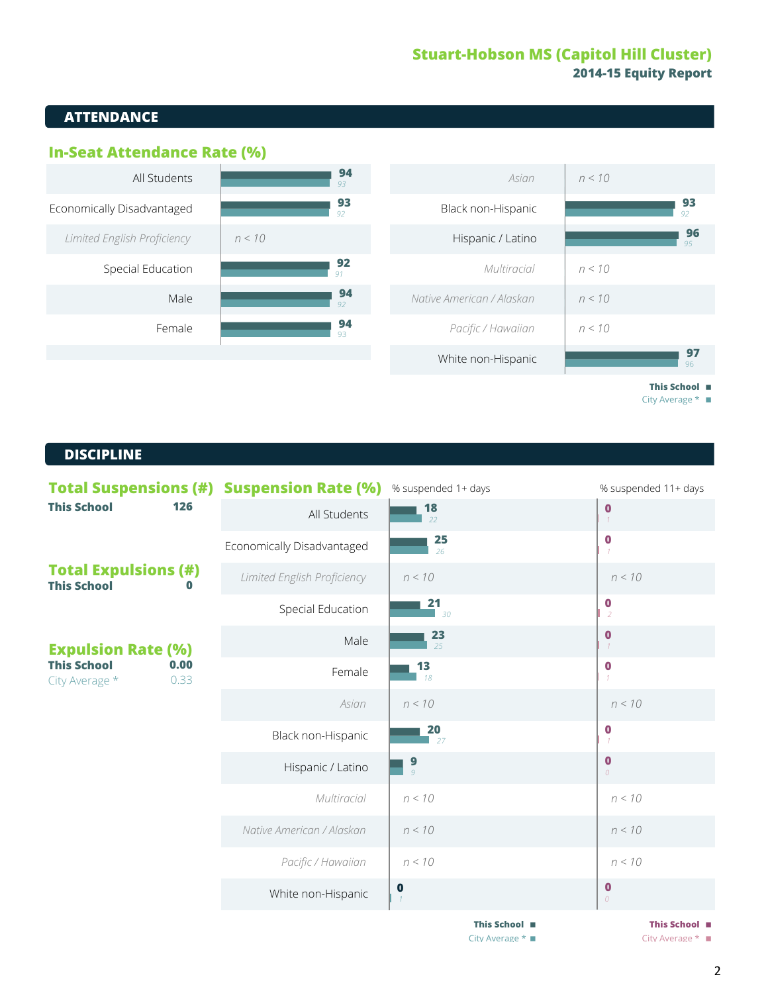# **Stuart-Hobson MS (Capitol Hill Cluster) 2014-15 Equity Report**

# **ATTENDANCE**



City Average  $*$ 

#### **DISCIPLINE**

| <b>Total Suspensions (#) Suspension Rate (%)</b>     |                             | % suspended 1+ days | % suspended 11+ days             |  |
|------------------------------------------------------|-----------------------------|---------------------|----------------------------------|--|
| <b>This School</b><br>126                            | All Students                | $\frac{18}{22}$     | $\bf{0}$<br>$\mathcal{I}$        |  |
|                                                      | Economically Disadvantaged  | 25<br>26            | $\bf{0}$                         |  |
| <b>Total Expulsions (#)</b><br><b>This School</b>    | Limited English Proficiency | n < 10              | n < 10                           |  |
|                                                      | Special Education           | 21<br>30            | $\bf{0}$<br>2                    |  |
| <b>Expulsion Rate (%)</b>                            | Male                        | 23<br>25            | $\bf{0}$                         |  |
| <b>This School</b><br>0.00<br>City Average *<br>0.33 | Female                      | 13<br>18            | $\bf{0}$<br>$\mathcal I$         |  |
|                                                      | Asian                       | n < 10              | n < 10                           |  |
|                                                      | Black non-Hispanic          | 20<br>27            | $\boldsymbol{0}$<br>$\mathcal I$ |  |
|                                                      | Hispanic / Latino           | $\frac{9}{9}$       | $\bf{0}$<br>$\Omega$             |  |
|                                                      | Multiracial                 | n < 10              | n < 10                           |  |
|                                                      | Native American / Alaskan   | n < 10              | n < 10                           |  |
|                                                      | Pacific / Hawaiian          | n < 10              | n < 10                           |  |
|                                                      | White non-Hispanic          | $\bf{0}$            | $\bf{0}$<br>$\overline{O}$       |  |
|                                                      |                             | This School ■       | This School ■                    |  |

City Average \* ■ City Average \* ■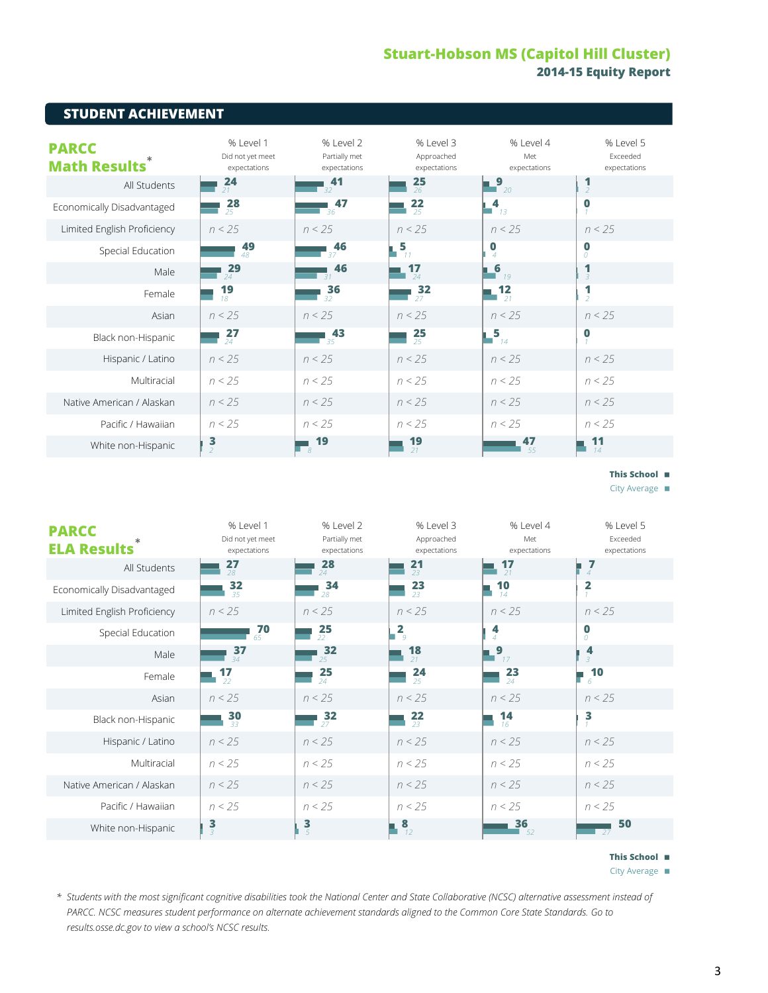# **Stuart-Hobson MS (Capitol Hill Cluster)** 2014-15 Equity Report

| SIUDENI ACHIEVEMENI                 |                                               |                                            |                                         |                                  |                                       |  |  |  |
|-------------------------------------|-----------------------------------------------|--------------------------------------------|-----------------------------------------|----------------------------------|---------------------------------------|--|--|--|
| <b>PARCC</b><br><b>Math Results</b> | % Level 1<br>Did not yet meet<br>expectations | % Level 2<br>Partially met<br>expectations | % Level 3<br>Approached<br>expectations | % Level 4<br>Met<br>expectations | % Level 5<br>Exceeded<br>expectations |  |  |  |
| All Students                        | 24<br>21                                      | 41<br>32                                   | 25<br>26                                | _9<br>$\Box$ 20                  | $\overline{z}$                        |  |  |  |
| Economically Disadvantaged          | $\frac{28}{25}$                               | 47<br>36                                   | 22<br>25                                | 4<br>13                          | $\bf{0}$                              |  |  |  |
| Limited English Proficiency         | n < 25                                        | n < 25                                     | n < 25                                  | n < 25                           | n < 25                                |  |  |  |
| Special Education                   | 49<br>48                                      | 46<br>37                                   | $\frac{5}{11}$                          | $\bf{0}$<br>$\Delta$             | $\bf{0}$<br>$\Omega$                  |  |  |  |
| Male                                | 29<br>24                                      | 46<br>$-31$                                | 17<br>24                                | $\sqrt{6}$<br>19                 | 1<br>$\overline{3}$                   |  |  |  |
| Female                              | 19<br>18                                      | 36<br>32                                   | 32<br>27                                | $12$<br>$21$                     | 1<br>$\overline{\phantom{a}}$         |  |  |  |
| Asian                               | n < 25                                        | n < 25                                     | n < 25                                  | n < 25                           | n < 25                                |  |  |  |
| Black non-Hispanic                  | $\frac{27}{24}$                               | 43<br>35                                   | $\frac{25}{25}$                         | $\overline{\mathbf{5}}_{14}$     | $\bf{0}$                              |  |  |  |
| Hispanic / Latino                   | n < 25                                        | n < 25                                     | n < 25                                  | n < 25                           | n < 25                                |  |  |  |
| Multiracial                         | n < 25                                        | n < 25                                     | n < 25                                  | n < 25                           | n < 25                                |  |  |  |
| Native American / Alaskan           | n < 25                                        | n < 25                                     | n < 25                                  | n < 25                           | n < 25                                |  |  |  |
| Pacific / Hawaiian                  | n < 25                                        | n < 25                                     | n < 25                                  | n < 25                           | n < 25                                |  |  |  |
| White non-Hispanic                  | $\frac{3}{2}$                                 | 19<br>8                                    | 19<br>21                                | 47<br>55                         | 11<br>14                              |  |  |  |

#### This School **m**

City Average  $\blacksquare$ 

| <b>PARCC</b><br><b>ELA Results</b> | % Level 1<br>Did not yet meet<br>expectations | % Level 2<br>Partially met<br>expectations | % Level 3<br>Approached<br>expectations | % Level 4<br>Met<br>expectations | % Level 5<br>Exceeded<br>expectations |
|------------------------------------|-----------------------------------------------|--------------------------------------------|-----------------------------------------|----------------------------------|---------------------------------------|
| All Students                       | 27<br>28                                      | 28<br>24                                   | 21<br>23                                | 17<br>21                         | 7<br>$\overline{4}$                   |
| Economically Disadvantaged         | 32<br>35                                      | 34<br>28                                   | $\frac{23}{23}$                         | 10<br>14                         | $\overline{2}$<br>$\mathcal{I}$       |
| Limited English Proficiency        | n < 25                                        | n < 25                                     | n < 25                                  | n < 25                           | n < 25                                |
| Special Education                  | 70<br>65                                      | 25<br>22                                   | $\overline{2}$<br>$\overline{g}$        | 4<br>$\Delta$                    | $\bf{0}$<br>$\theta$                  |
| Male                               | 37<br>$\overline{34}$                         | 32<br>$25 -$                               | 18<br>21                                | $\mathbf{9}_{17}$                | 4<br>3                                |
| Female                             | $\frac{17}{22}$                               | 25<br>24                                   | 24<br>25                                | 23<br>24                         | 10<br>6.                              |
| Asian                              | n < 25                                        | n < 25                                     | n < 25                                  | n < 25                           | n < 25                                |
| Black non-Hispanic                 | $\frac{30}{33}$                               | $\frac{32}{27}$                            | $\frac{22}{23}$                         | 14<br>16                         | 3                                     |
| Hispanic / Latino                  | n < 25                                        | n < 25                                     | n < 25                                  | n < 25                           | n < 25                                |
| Multiracial                        | n < 25                                        | n < 25                                     | n < 25                                  | n < 25                           | n < 25                                |
| Native American / Alaskan          | n < 25                                        | n < 25                                     | n < 25                                  | n < 25                           | n < 25                                |
| Pacific / Hawaiian                 | n < 25                                        | n < 25                                     | n < 25                                  | n < 25                           | n < 25                                |
| White non-Hispanic                 | $\frac{3}{3}$                                 | $\frac{3}{5}$                              | 8<br>12                                 | 36<br>52                         | 50<br>27                              |

This School **m** 

City Average  $\blacksquare$ 

\* Students with the most significant cognitive disabilities took the National Center and State Collaborative (NCSC) alternative assessment instead of PARCC. NCSC measures student performance on alternate achievement standards aligned to the Common Core State Standards. Go to results.osse.dc.gov to view a school's NCSC results.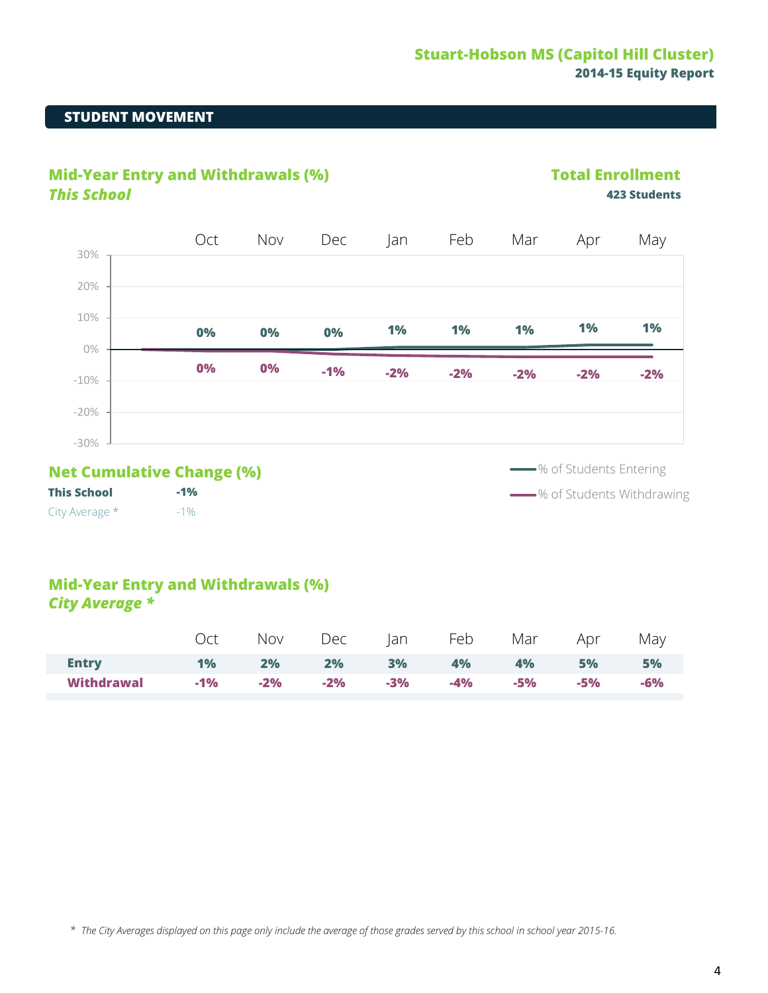# **STUDENT MOVEMENT**





**This School** City Average \* **-1%** -1%

**Solution** % of Students Withdrawing

# **Mid-Year Entry and Withdrawals (%)** *City Average \**

|              |               |  |  | Oct Nov Dec Jan Feb Mar Apr May |       |           |
|--------------|---------------|--|--|---------------------------------|-------|-----------|
| <b>Entry</b> |               |  |  | 1% 2% 2% 3% 4% 4% 5%            |       | <b>5%</b> |
| Withdrawal   | $-1\%$ $-2\%$ |  |  | -2% -3% -4% -5%                 | $-5%$ | -6%       |

*\* The City Averages displayed on this page only include the average of those grades served by this school in school year 2015-16.*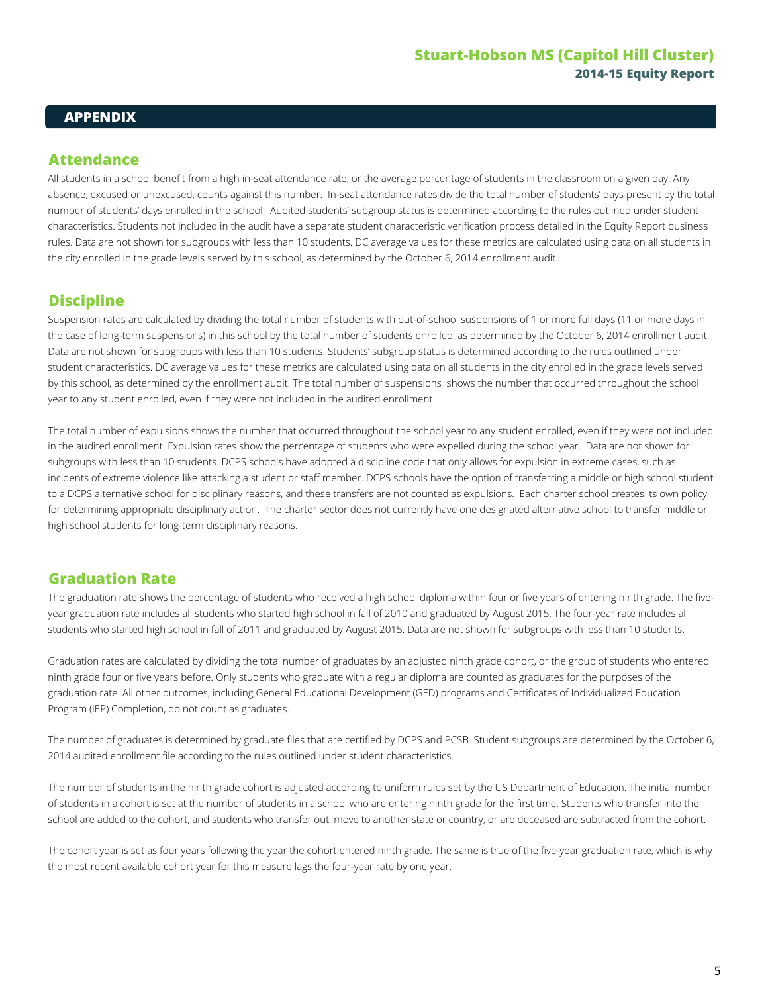#### **APPENDIX**

# **Attendance**

All students in a school benefit from a high in-seat attendance rate, or the average percentage of students in the classroom on a given day. Any absence, excused or unexcused, counts against this number. In-seat attendance rates divide the total number of students' days present by the total number of students' days enrolled in the school. Audited students' subgroup status is determined according to the rules outlined under student characteristics. Students not included in the audit have a separate student characteristic verification process detailed in the Equity Report business rules. Data are not shown for subgroups with less than 10 students. DC average values for these metrics are calculated using data on all students in the city enrolled in the grade levels served by this school, as determined by the October 6, 2014 enrollment audit.

# **Discipline**

Suspension rates are calculated by dividing the total number of students with out-of-school suspensions of 1 or more full days (11 or more days in the case of long-term suspensions) in this school by the total number of students enrolled, as determined by the October 6, 2014 enrollment audit. Data are not shown for subgroups with less than 10 students. Students' subgroup status is determined according to the rules outlined under student characteristics. DC average values for these metrics are calculated using data on all students in the city enrolled in the grade levels served by this school, as determined by the enrollment audit. The total number of suspensions shows the number that occurred throughout the school year to any student enrolled, even if they were not included in the audited enrollment.

The total number of expulsions shows the number that occurred throughout the school year to any student enrolled, even if they were not included in the audited enrollment. Expulsion rates show the percentage of students who were expelled during the school year. Data are not shown for subgroups with less than 10 students. DCPS schools have adopted a discipline code that only allows for expulsion in extreme cases, such as incidents of extreme violence like attacking a student or staff member. DCPS schools have the option of transferring a middle or high school student to a DCPS alternative school for disciplinary reasons, and these transfers are not counted as expulsions. Each charter school creates its own policy for determining appropriate disciplinary action. The charter sector does not currently have one designated alternative school to transfer middle or high school students for long-term disciplinary reasons.

# **Graduation Rate**

The graduation rate shows the percentage of students who received a high school diploma within four or five years of entering ninth grade. The fiveyear graduation rate includes all students who started high school in fall of 2010 and graduated by August 2015. The four-year rate includes all students who started high school in fall of 2011 and graduated by August 2015. Data are not shown for subgroups with less than 10 students.

Graduation rates are calculated by dividing the total number of graduates by an adjusted ninth grade cohort, or the group of students who entered ninth grade four or five years before. Only students who graduate with a regular diploma are counted as graduates for the purposes of the graduation rate. All other outcomes, including General Educational Development (GED) programs and Certificates of Individualized Education Program (IEP) Completion, do not count as graduates.

The number of graduates is determined by graduate files that are certified by DCPS and PCSB. Student subgroups are determined by the October 6, 2014 audited enrollment file according to the rules outlined under student characteristics.

The number of students in the ninth grade cohort is adjusted according to uniform rules set by the US Department of Education. The initial number of students in a cohort is set at the number of students in a school who are entering ninth grade for the first time. Students who transfer into the school are added to the cohort, and students who transfer out, move to another state or country, or are deceased are subtracted from the cohort.

The cohort year is set as four years following the year the cohort entered ninth grade. The same is true of the five-year graduation rate, which is why the most recent available cohort year for this measure lags the four-year rate by one year.